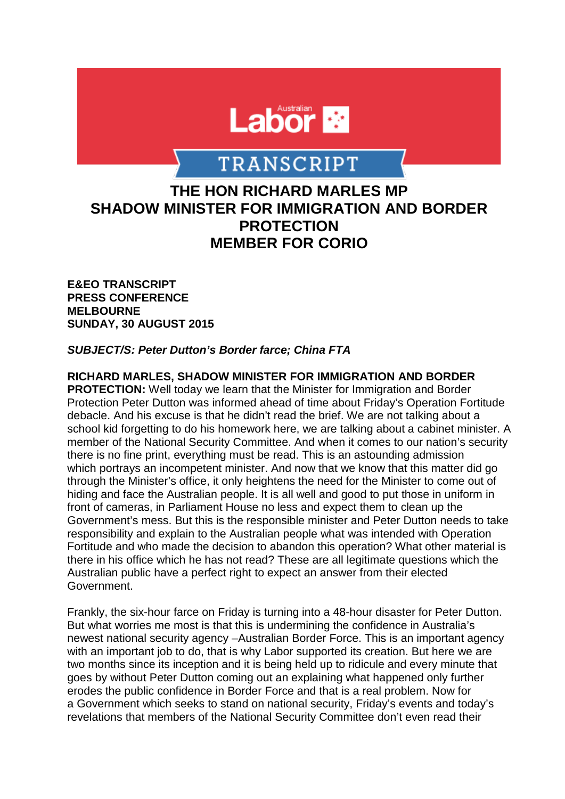

# **TRANSCRIPT**

## **THE HON RICHARD MARLES MP SHADOW MINISTER FOR IMMIGRATION AND BORDER PROTECTION MEMBER FOR CORIO**

**E&EO TRANSCRIPT PRESS CONFERENCE MELBOURNE SUNDAY, 30 AUGUST 2015**

#### *SUBJECT/S: Peter Dutton's Border farce; China FTA*

#### **RICHARD MARLES, SHADOW MINISTER FOR IMMIGRATION AND BORDER**

**PROTECTION:** Well today we learn that the Minister for Immigration and Border Protection Peter Dutton was informed ahead of time about Friday's Operation Fortitude debacle. And his excuse is that he didn't read the brief. We are not talking about a school kid forgetting to do his homework here, we are talking about a cabinet minister. A member of the National Security Committee. And when it comes to our nation's security there is no fine print, everything must be read. This is an astounding admission which portrays an incompetent minister. And now that we know that this matter did go through the Minister's office, it only heightens the need for the Minister to come out of hiding and face the Australian people. It is all well and good to put those in uniform in front of cameras, in Parliament House no less and expect them to clean up the Government's mess. But this is the responsible minister and Peter Dutton needs to take responsibility and explain to the Australian people what was intended with Operation Fortitude and who made the decision to abandon this operation? What other material is there in his office which he has not read? These are all legitimate questions which the Australian public have a perfect right to expect an answer from their elected Government.

Frankly, the six-hour farce on Friday is turning into a 48-hour disaster for Peter Dutton. But what worries me most is that this is undermining the confidence in Australia's newest national security agency –Australian Border Force. This is an important agency with an important job to do, that is why Labor supported its creation. But here we are two months since its inception and it is being held up to ridicule and every minute that goes by without Peter Dutton coming out an explaining what happened only further erodes the public confidence in Border Force and that is a real problem. Now for a Government which seeks to stand on national security, Friday's events and today's revelations that members of the National Security Committee don't even read their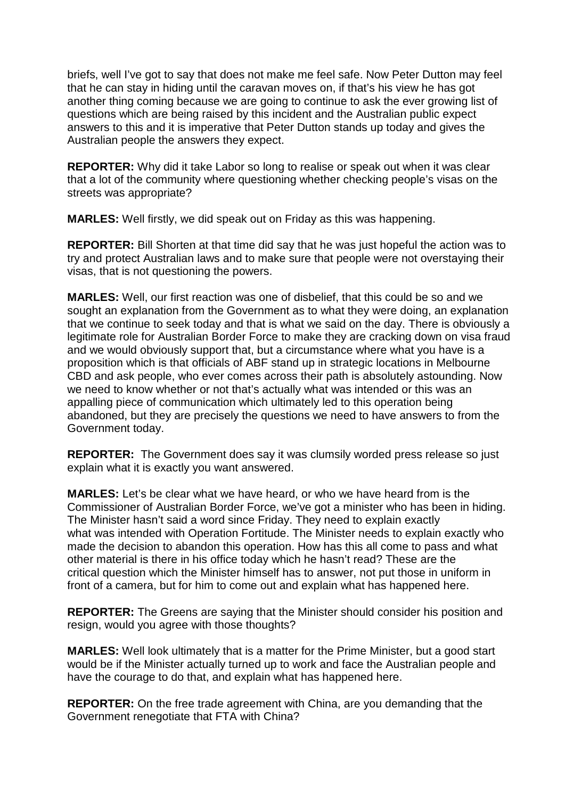briefs, well I've got to say that does not make me feel safe. Now Peter Dutton may feel that he can stay in hiding until the caravan moves on, if that's his view he has got another thing coming because we are going to continue to ask the ever growing list of questions which are being raised by this incident and the Australian public expect answers to this and it is imperative that Peter Dutton stands up today and gives the Australian people the answers they expect.

**REPORTER:** Why did it take Labor so long to realise or speak out when it was clear that a lot of the community where questioning whether checking people's visas on the streets was appropriate?

**MARLES:** Well firstly, we did speak out on Friday as this was happening.

**REPORTER:** Bill Shorten at that time did say that he was just hopeful the action was to try and protect Australian laws and to make sure that people were not overstaying their visas, that is not questioning the powers.

**MARLES:** Well, our first reaction was one of disbelief, that this could be so and we sought an explanation from the Government as to what they were doing, an explanation that we continue to seek today and that is what we said on the day. There is obviously a legitimate role for Australian Border Force to make they are cracking down on visa fraud and we would obviously support that, but a circumstance where what you have is a proposition which is that officials of ABF stand up in strategic locations in Melbourne CBD and ask people, who ever comes across their path is absolutely astounding. Now we need to know whether or not that's actually what was intended or this was an appalling piece of communication which ultimately led to this operation being abandoned, but they are precisely the questions we need to have answers to from the Government today.

**REPORTER:** The Government does say it was clumsily worded press release so just explain what it is exactly you want answered.

**MARLES:** Let's be clear what we have heard, or who we have heard from is the Commissioner of Australian Border Force, we've got a minister who has been in hiding. The Minister hasn't said a word since Friday. They need to explain exactly what was intended with Operation Fortitude. The Minister needs to explain exactly who made the decision to abandon this operation. How has this all come to pass and what other material is there in his office today which he hasn't read? These are the critical question which the Minister himself has to answer, not put those in uniform in front of a camera, but for him to come out and explain what has happened here.

**REPORTER:** The Greens are saying that the Minister should consider his position and resign, would you agree with those thoughts?

**MARLES:** Well look ultimately that is a matter for the Prime Minister, but a good start would be if the Minister actually turned up to work and face the Australian people and have the courage to do that, and explain what has happened here.

**REPORTER:** On the free trade agreement with China, are you demanding that the Government renegotiate that FTA with China?